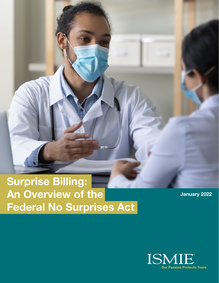**Surprise Billing: An Overview of the Federal No Surprises Act**

.............

**January 2022**

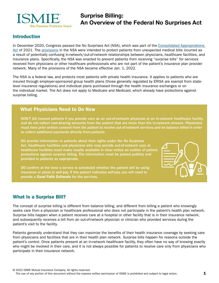

# **Surprise Billing: An Overview of the Federal No Surprises Act**

#### **Introduction**

In December 2020, Congress passed the No Surprises Act (NSA), which was part of the [Consolidated Appropriations](https://www.congress.gov/116/bills/hr133/BILLS-116hr133enr.pdf)  [Act](https://www.congress.gov/116/bills/hr133/BILLS-116hr133enr.pdf) of 2021. The [provisions](https://www.ama-assn.org/system/files/2021-02/surprise-billing-provisions-guide.pdf) in the NSA were intended to protect patients from unexpected medical bills incurred as a result of potentially confusing in-network/out-of-network relationships between physicians, healthcare facilities, and insurance plans. Specifically, the NSA was enacted to prevent patients from receiving "surprise bills" for services received from physicians or other healthcare professionals who are not part of the patient's insurance plan provider network. Many of the provisions of the NSA became effective Jan. 1, 2022.

The NSA is a federal law, and protects most patients with private health insurance. It applies to patients who are insured through employer-sponsored group health plans (those generally regulated by ERISA are exempt from statelevel insurance regulations) and individual plans purchased through the health insurance exchanges or on the individual market. The Act does not apply to Medicare and Medicaid, which already have protections against surprise billing.

#### What Physicians Need to Do Now

DON'T bill insured patients if you provide care as an out-of-network physician at an in-network healthcare facility, and do not collect cost-sharing amounts from the patient that are more than the in-network amount. *Physicians must have prior written consent from the patient to receive out-of-network services and be balance billed in order to collect additional payments directly from patients.*

DO provide information to patients about their rights under the No Surprises Act. Healthcare facilities and physicians who may provide out-of-network care at healthcare facilities must make readily available in clear notice an outline of patient protections against surprise billing. The information must be posted publicly and provided to patients as appropriate.

DO confirm at the time a service is scheduled whether the patient will be using insurance or plans to self-pay. If the patient indicates self-pay, you will need to provide a Good Faith Estimate for the services.



### What Is a Surprise Bill?

The concept of surprise billing is different from balance billing, and different from billing a patient who knowingly seeks care from a physician or healthcare professional who does not participate in the patient's health plan network. Surprise bills happen when a patient receives care at a hospital or other facility that is in their insurance network, and subsequently receives a bill from an out-of-network physician or clinician who provided services during the patient's visit to the facility.

Patients generally understand that they can maximize the benefits of their health insurance coverage by seeking care from physicians and facilities that are in their health plan network. Surprise bills happen for reasons outside the patient's control. Once patients present at an in-network healthcare facility, they often have no way of knowing exactly who might be involved in their care, and it is not always possible for patients to receive care only from physicians who participate in their insurance network.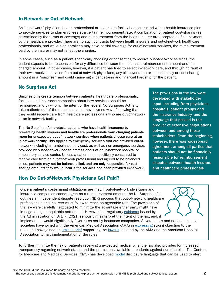#### In-Network or Out-of-Network

An "in-network" physician, health professional or healthcare facility has contracted with a health insurance plan to provide services to plan enrollees at a certain reimbursement rate. A combination of patient cost-sharing (as determined by the terms of coverage) and reimbursement from the health insurer are accepted as final payment by the healthcare provider. There are no such contracts between health insurers and out-of-network healthcare professionals, and while plan enrollees may have partial coverage for out-of-network services, the reimbursement paid by the insurer may not reflect the charges.

In some cases, such as a patient specifically choosing or consenting to receive out-of-network services, the patient expects to be responsible for any difference between the insurance reimbursement amount and the charged amount. In other cases, however, if a patient has tried to select in-network care, and through no fault of their own receives services from out-of-network physicians, any bill beyond the expected co-pay or cost-sharing amount is a "surprise," and could cause significant stress and financial hardship for the patient.

# No Surprises Act

Surprise bills create tension between patients, healthcare professionals, facilities and insurance companies about how services should be reimbursed and by whom. The intent of the federal No Surprises Act is to take patients out of the equation, since they have no way of knowing that they would receive care from healthcare professionals who are out-of-network at an in-network facility.

The No Surprises Act protects patients who have health insurance by preventing health insurers and healthcare professionals from charging patients more for unexpected out-of-network services when patients choose care at an in-network facility. This applies to emergency services that are provided out-ofnetwork (including air ambulance services), as well as non-emergency services provided by out-of-network health professionals at an in-network hospital or ambulatory service center. Unless a patient has specifically consented to receive care from an out-of-network professional and agreed to be balanced billed, patients may not be balance billed, and are only responsible for cost sharing amounts they would incur if the services had been provided in-network.

# How Do Out-of-Network Physicians Get Paid?

The provisions in the law were developed with stakeholder input, including from physicians, hospitals, patient groups and the insurance industry, and the language that passed is the product of extensive negotiations between and among these stakeholders. From the beginning, however, there was widespread agreement among all parties that patients should not be financially responsible for reimbursement disputes between health insurers and healthcare professionals.

Once a patient's cost-sharing obligations are met, if out-of-network physicians and insurance companies cannot agree on a reimbursement amount, the No Surprises Act outlines an independent dispute resolution (IDR) process that out-of-network healthcare professionals and insurers must follow to reach an agreeable rate. The provisions of the law were carefully negotiated to minimize the advantage either party might have in negotiating an equitable settlement. However, the regulatory [guidance](https://www.federalregister.gov/documents/2021/10/07/2021-21441/requirements-related-to-surprise-billing-part-ii) issued by the Administration on Oct. 7, 2021, seriously misinterpret the intent of the law, and, if



implemented, would significantly favor rates set by insurance companies. Several state and national medical societies have joined with the American Medical Association (AMA) in [expressing](https://www.isms.org/ISMS.org/media/ISMSMediaLibrary/documents/SupriseBillingSign-on-letter.pdf) strong objection to the rules and have joined an [amicus brief](https://www.aaos.org/globalassets/advocacy/issues/amicus-brief-no-surprises-act-final-rule.pdf) supporting the [lawsuit](https://www.ama-assn.org/press-center/press-releases/ama-and-aha-file-lawsuit-over-no-surprises-act-final-rule) initiated by the AMA and the American Hospital Association to halt implementation of the rules.

To further minimize the risk of patients receiving unexpected medical bills, the law also provides for increased transparency regarding network status and the protections available to patients against surprise bills. The Centers for Medicare and Medicaid Services (CMS) has developed [model](https://www.cms.gov/files/document/model-disclosure-notice-patient-protections-against-surprise-billing-providers-facilities-health.pdf) disclosure language that can be used to alert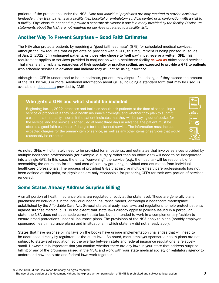patients of the protections under the NSA. *Note that individual physicians are only required to provide disclosure language if they treat patients at a facility (i.e., hospital or ambulatory surgical center) or in conjunction with a visit to a facility. Physicians do not need to provide a separate disclosure if one is already provided by the facility. Disclosure statements about the NSA are not required for services unrelated to a facility visit*.

# Another Way To Prevent Surprises – Good Faith Estimates

The NSA also protects patients by requiring a "good faith estimate" (GFE) for scheduled medical services. Although the law requires that all patients be provided with a GFE, this requirement is being phased in, so, as of Jan. 1, 2022, only uninsured patients, or those who choose to "self pay" must receive a written GFE. This requirement applies to services provided in conjunction with a healthcare facility *as well as* office-based services. That means all physicians, regardless of their specialty or practice setting, are expected to provide a GFE to patients who schedule services in advance and indicate they will not be using insurance.

Although the GFE is understood to be an estimate, patients may dispute final charges if they exceed the amount of the GFE by \$400 or more. Additional information about GFEs, including a standard form that may be used, is available in [documents](https://www.cms.gov/regulations-and-guidancelegislationpaperworkreductionactof1995pra-listing/cms-10791) provided by CMS.

### Who gets a GFE and what should be included

Beginning Jan. 1, 2022, practices and facilities should ask patients at the time of scheduling a service or procedure if they have health insurance coverage, and whether they plan to submit a claim to a third-party insurer. If the patient indicates that they will be paying out-of-pocket for the service, and the service is scheduled at least three days in advance, the patient must be offered a good faith estimate of charges for the planned service. The information must include expected charges for the primary item or service, as well as any other items or services that would reasonably be expected.

| -- |
|----|
| с  |
|    |

As noted GFEs will ultimately need to be provided for all patients, and estimates that involve services provided by multiple healthcare professionals (for example, a surgery rather than an office visit) will need to be incorporated into a single GFE. In this case, the entity "convening" the service (e.g., the hospital) will be responsible for assembling the estimates for the total cost of care, by gathering individual cost estimates from individual healthcare professionals. The process of providing GFEs that involve multiple healthcare professionals has not been defined at this point, so physicians are only responsible for preparing GFEs for their own portion of services rendered.

### Some States Already Address Surprise Billing

A small portion of health insurance plans are regulated directly at the state level. These are generally plans purchased by individuals in the individual health insurance market, or through a healthcare marketplace established by the Affordable Care Act. Several states already have laws and regulations to help protect patients against surprise medical bills. To the extent that state laws already apply to policies issued in a particular state, the NSA does not supersede current state law, but is intended to work in a complementary fashion to ensure broad protections under all insurance plans. The provisions of the NSA apply to plans (notably employersponsored health insurance plans) and in situations in which state law did not already apply.

States that have surprise billing laws on the books have unique implementation challenges that will need to be addressed directly by regulators at the state level. As noted, most employer-sponsored health plans are not subject to state-level regulation, so the overlap between state and federal insurance regulations is relatively small. However, it is important that you confirm whether there are any laws in your state that address surprise billing or any of the provisions raised in the NSA, and work with your state medical society or regulatory agency to understand how the state and federal laws work together.